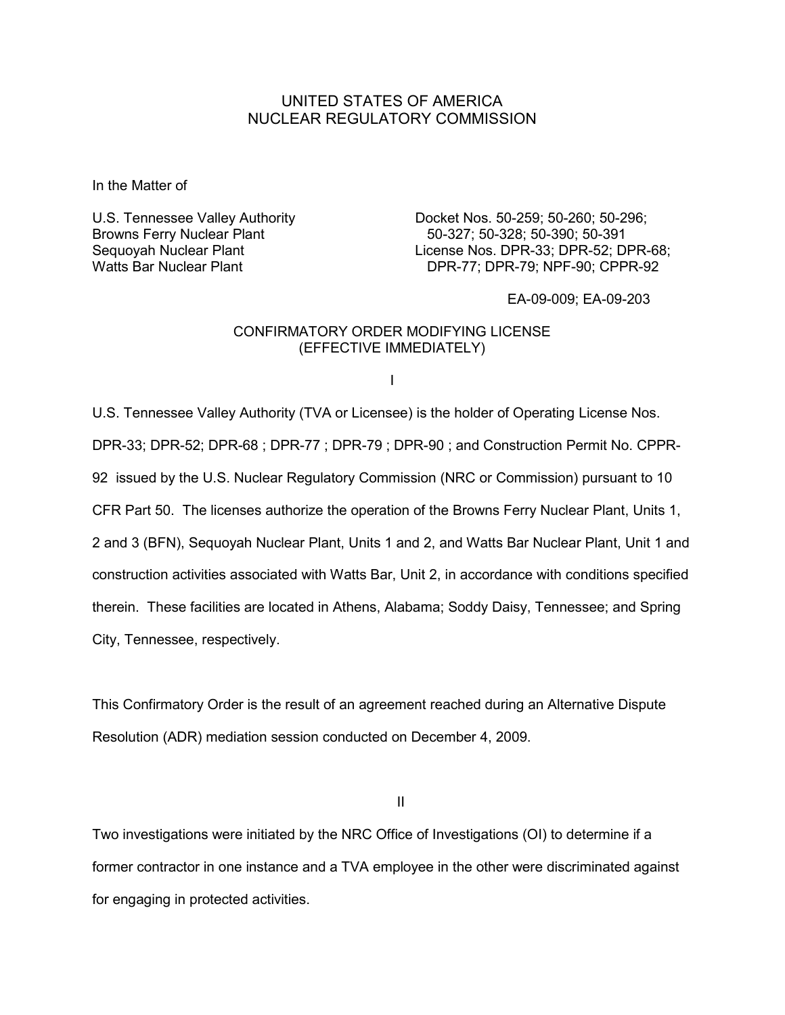## UNITED STATES OF AMERICA NUCLEAR REGULATORY COMMISSION

In the Matter of

U.S. Tennessee Valley Authority Docket Nos. 50-259; 50-260; 50-296; Browns Ferry Nuclear Plant 60 and 50-327; 50-328; 50-390; 50-391 Sequoyah Nuclear Plant License Nos. DPR-33; DPR-52; DPR-68; Watts Bar Nuclear Plant Nuclear And DPR-77; DPR-79; NPF-90; CPPR-92

EA-09-009; EA-09-203

## CONFIRMATORY ORDER MODIFYING LICENSE (EFFECTIVE IMMEDIATELY)

I

U.S. Tennessee Valley Authority (TVA or Licensee) is the holder of Operating License Nos. DPR-33; DPR-52; DPR-68 ; DPR-77 ; DPR-79 ; DPR-90 ; and Construction Permit No. CPPR-92 issued by the U.S. Nuclear Regulatory Commission (NRC or Commission) pursuant to 10 CFR Part 50. The licenses authorize the operation of the Browns Ferry Nuclear Plant, Units 1, 2 and 3 (BFN), Sequoyah Nuclear Plant, Units 1 and 2, and Watts Bar Nuclear Plant, Unit 1 and construction activities associated with Watts Bar, Unit 2, in accordance with conditions specified therein. These facilities are located in Athens, Alabama; Soddy Daisy, Tennessee; and Spring City, Tennessee, respectively.

This Confirmatory Order is the result of an agreement reached during an Alternative Dispute Resolution (ADR) mediation session conducted on December 4, 2009.

**III** and the contract of the contract of the contract of the contract of the contract of the contract of the contract of the contract of the contract of the contract of the contract of the contract of the contract of the

Two investigations were initiated by the NRC Office of Investigations (OI) to determine if a former contractor in one instance and a TVA employee in the other were discriminated against for engaging in protected activities.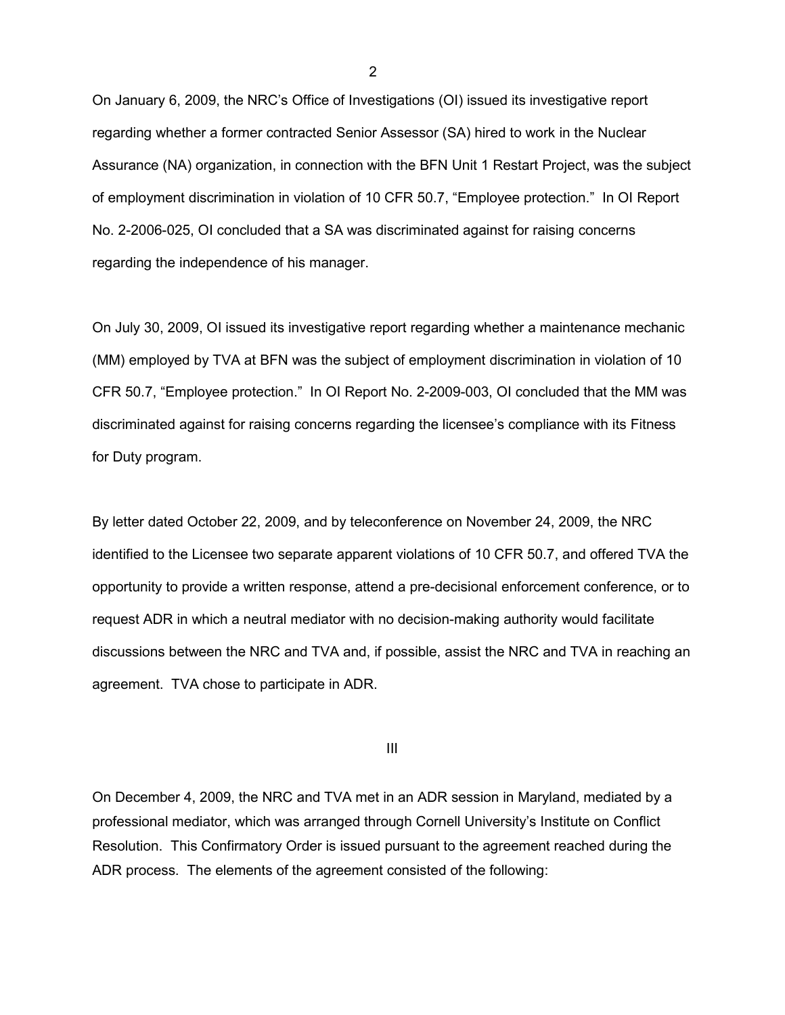On January 6, 2009, the NRC's Office of Investigations (OI) issued its investigative report regarding whether a former contracted Senior Assessor (SA) hired to work in the Nuclear Assurance (NA) organization, in connection with the BFN Unit 1 Restart Project, was the subject of employment discrimination in violation of 10 CFR 50.7, "Employee protection." In OI Report No. 2-2006-025, OI concluded that a SA was discriminated against for raising concerns regarding the independence of his manager.

On July 30, 2009, OI issued its investigative report regarding whether a maintenance mechanic (MM) employed by TVA at BFN was the subject of employment discrimination in violation of 10 CFR 50.7, "Employee protection." In OI Report No. 2-2009-003, OI concluded that the MM was discriminated against for raising concerns regarding the licensee's compliance with its Fitness for Duty program.

By letter dated October 22, 2009, and by teleconference on November 24, 2009, the NRC identified to the Licensee two separate apparent violations of 10 CFR 50.7, and offered TVA the opportunity to provide a written response, attend a pre-decisional enforcement conference, or to request ADR in which a neutral mediator with no decision-making authority would facilitate discussions between the NRC and TVA and, if possible, assist the NRC and TVA in reaching an agreement. TVA chose to participate in ADR.

**III**III and a strong of the strong strong strong strong strong strong strong strong strong strong strong strong

On December 4, 2009, the NRC and TVA met in an ADR session in Maryland, mediated by a professional mediator, which was arranged through Cornell University's Institute on Conflict Resolution. This Confirmatory Order is issued pursuant to the agreement reached during the ADR process. The elements of the agreement consisted of the following:

2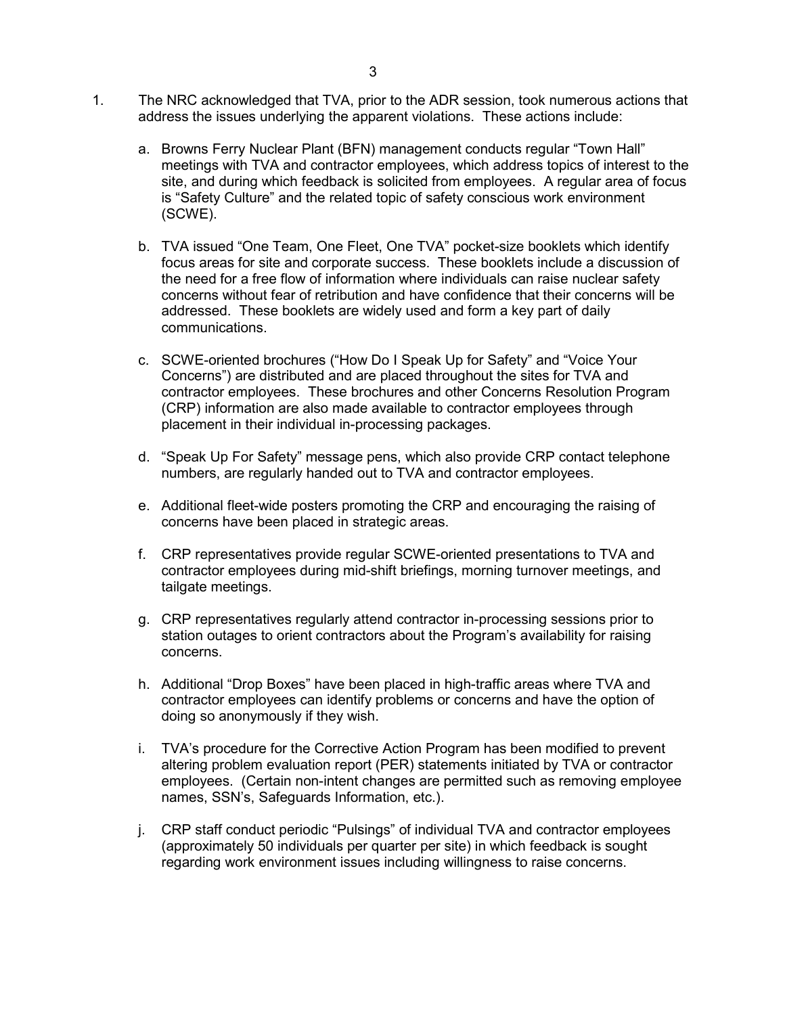- 1. The NRC acknowledged that TVA, prior to the ADR session, took numerous actions that address the issues underlying the apparent violations. These actions include:
	- a. Browns Ferry Nuclear Plant (BFN) management conducts regular "Town Hall" meetings with TVA and contractor employees, which address topics of interest to the site, and during which feedback is solicited from employees. A regular area of focus is "Safety Culture" and the related topic of safety conscious work environment (SCWE).
	- b. TVA issued "One Team, One Fleet, One TVA" pocket-size booklets which identify focus areas for site and corporate success. These booklets include a discussion of the need for a free flow of information where individuals can raise nuclear safety concerns without fear of retribution and have confidence that their concerns will be addressed. These booklets are widely used and form a key part of daily communications.
	- c. SCWE-oriented brochures ("How Do I Speak Up for Safety" and "Voice Your Concerns") are distributed and are placed throughout the sites for TVA and contractor employees. These brochures and other Concerns Resolution Program (CRP) information are also made available to contractor employees through placement in their individual in-processing packages.
	- d. "Speak Up For Safety" message pens, which also provide CRP contact telephone numbers, are regularly handed out to TVA and contractor employees.
	- e. Additional fleet-wide posters promoting the CRP and encouraging the raising of concerns have been placed in strategic areas.
	- f. CRP representatives provide regular SCWE-oriented presentations to TVA and contractor employees during mid-shift briefings, morning turnover meetings, and tailgate meetings.
	- g. CRP representatives regularly attend contractor in-processing sessions prior to station outages to orient contractors about the Program's availability for raising concerns.
	- h. Additional "Drop Boxes" have been placed in high-traffic areas where TVA and contractor employees can identify problems or concerns and have the option of doing so anonymously if they wish.
	- i. TVA's procedure for the Corrective Action Program has been modified to prevent altering problem evaluation report (PER) statements initiated by TVA or contractor employees. (Certain non-intent changes are permitted such as removing employee names, SSN's, Safeguards Information, etc.).
	- j. CRP staff conduct periodic "Pulsings" of individual TVA and contractor employees (approximately 50 individuals per quarter per site) in which feedback is sought regarding work environment issues including willingness to raise concerns.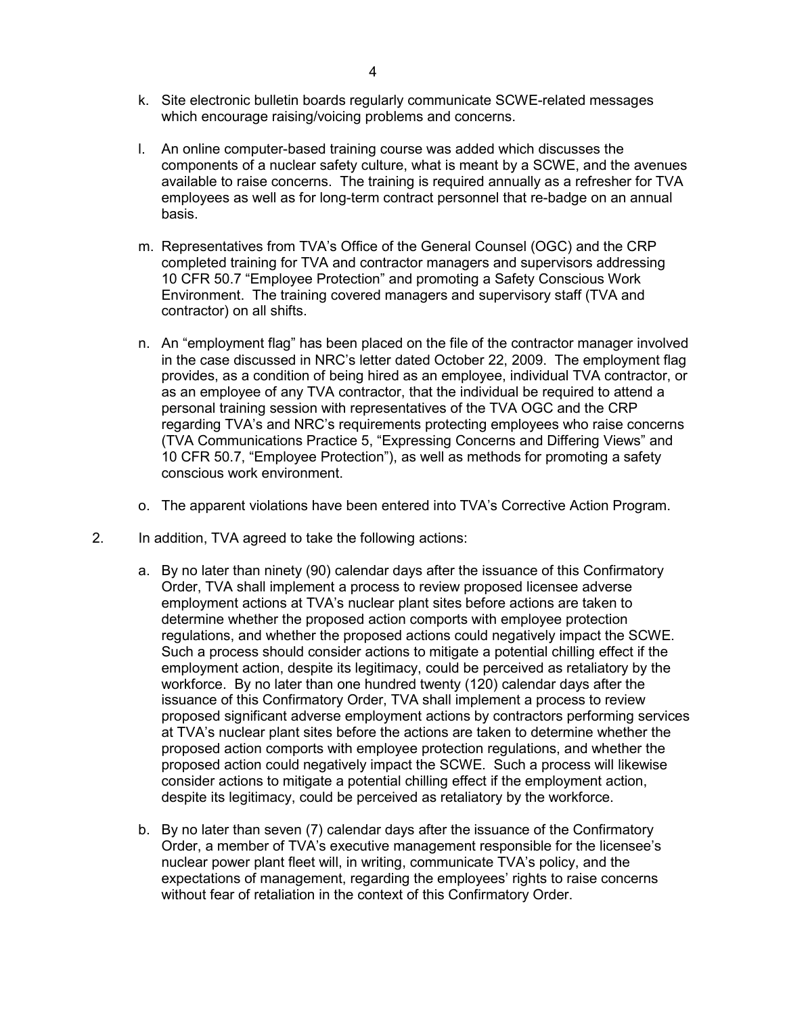- k. Site electronic bulletin boards regularly communicate SCWE-related messages which encourage raising/voicing problems and concerns.
- l. An online computer-based training course was added which discusses the components of a nuclear safety culture, what is meant by a SCWE, and the avenues available to raise concerns. The training is required annually as a refresher for TVA employees as well as for long-term contract personnel that re-badge on an annual basis.
- m. Representatives from TVA's Office of the General Counsel (OGC) and the CRP completed training for TVA and contractor managers and supervisors addressing 10 CFR 50.7 "Employee Protection" and promoting a Safety Conscious Work Environment. The training covered managers and supervisory staff (TVA and contractor) on all shifts.
- n. An "employment flag" has been placed on the file of the contractor manager involved in the case discussed in NRC's letter dated October 22, 2009. The employment flag provides, as a condition of being hired as an employee, individual TVA contractor, or as an employee of any TVA contractor, that the individual be required to attend a personal training session with representatives of the TVA OGC and the CRP regarding TVA's and NRC's requirements protecting employees who raise concerns (TVA Communications Practice 5, "Expressing Concerns and Differing Views" and 10 CFR 50.7, "Employee Protection"), as well as methods for promoting a safety conscious work environment.
- o. The apparent violations have been entered into TVA's Corrective Action Program.
- 2. In addition, TVA agreed to take the following actions:
	- a. By no later than ninety (90) calendar days after the issuance of this Confirmatory Order, TVA shall implement a process to review proposed licensee adverse employment actions at TVA's nuclear plant sites before actions are taken to determine whether the proposed action comports with employee protection regulations, and whether the proposed actions could negatively impact the SCWE. Such a process should consider actions to mitigate a potential chilling effect if the employment action, despite its legitimacy, could be perceived as retaliatory by the workforce. By no later than one hundred twenty (120) calendar days after the issuance of this Confirmatory Order, TVA shall implement a process to review proposed significant adverse employment actions by contractors performing services at TVA's nuclear plant sites before the actions are taken to determine whether the proposed action comports with employee protection regulations, and whether the proposed action could negatively impact the SCWE. Such a process will likewise consider actions to mitigate a potential chilling effect if the employment action, despite its legitimacy, could be perceived as retaliatory by the workforce.
	- b. By no later than seven (7) calendar days after the issuance of the Confirmatory Order, a member of TVA's executive management responsible for the licensee's nuclear power plant fleet will, in writing, communicate TVA's policy, and the expectations of management, regarding the employees' rights to raise concerns without fear of retaliation in the context of this Confirmatory Order.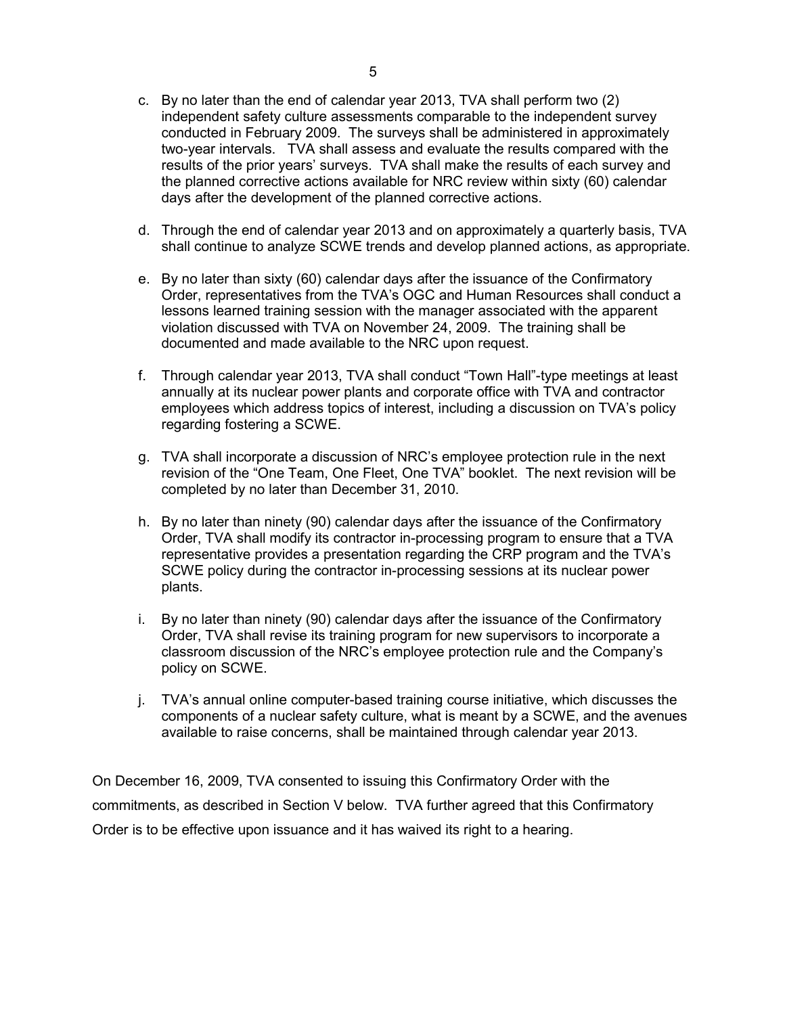- c. By no later than the end of calendar year 2013, TVA shall perform two (2) independent safety culture assessments comparable to the independent survey conducted in February 2009. The surveys shall be administered in approximately two-year intervals. TVA shall assess and evaluate the results compared with the results of the prior years' surveys. TVA shall make the results of each survey and the planned corrective actions available for NRC review within sixty (60) calendar days after the development of the planned corrective actions.
- d. Through the end of calendar year 2013 and on approximately a quarterly basis, TVA shall continue to analyze SCWE trends and develop planned actions, as appropriate.
- e. By no later than sixty (60) calendar days after the issuance of the Confirmatory Order, representatives from the TVA's OGC and Human Resources shall conduct a lessons learned training session with the manager associated with the apparent violation discussed with TVA on November 24, 2009. The training shall be documented and made available to the NRC upon request.
- f. Through calendar year 2013, TVA shall conduct "Town Hall"-type meetings at least annually at its nuclear power plants and corporate office with TVA and contractor employees which address topics of interest, including a discussion on TVA's policy regarding fostering a SCWE.
- g. TVA shall incorporate a discussion of NRC's employee protection rule in the next revision of the "One Team, One Fleet, One TVA" booklet. The next revision will be completed by no later than December 31, 2010.
- h. By no later than ninety (90) calendar days after the issuance of the Confirmatory Order, TVA shall modify its contractor in-processing program to ensure that a TVA representative provides a presentation regarding the CRP program and the TVA's SCWE policy during the contractor in-processing sessions at its nuclear power plants.
- i. By no later than ninety (90) calendar days after the issuance of the Confirmatory Order, TVA shall revise its training program for new supervisors to incorporate a classroom discussion of the NRC's employee protection rule and the Company's policy on SCWE.
- j. TVA's annual online computer-based training course initiative, which discusses the components of a nuclear safety culture, what is meant by a SCWE, and the avenues available to raise concerns, shall be maintained through calendar year 2013.

On December 16, 2009, TVA consented to issuing this Confirmatory Order with the commitments, as described in Section V below. TVA further agreed that this Confirmatory Order is to be effective upon issuance and it has waived its right to a hearing.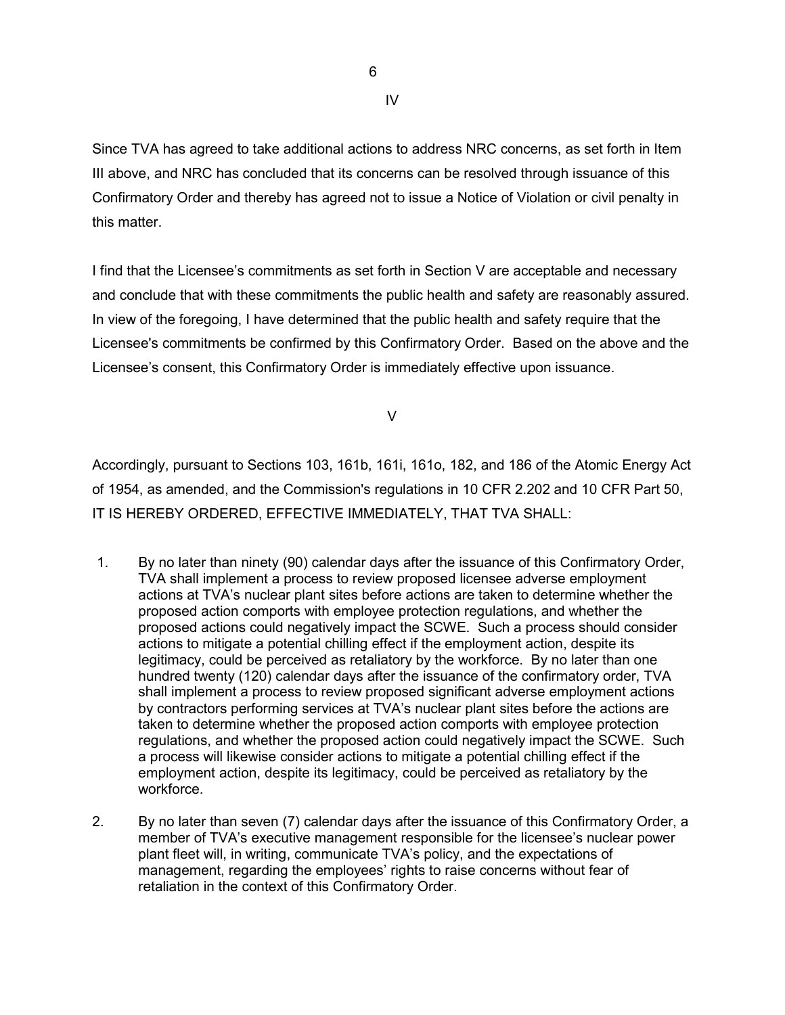IV

this matter.

Since TVA has agreed to take additional actions to address NRC concerns, as set forth in Item III above, and NRC has concluded that its concerns can be resolved through issuance of this Confirmatory Order and thereby has agreed not to issue a Notice of Violation or civil penalty in

I find that the Licensee's commitments as set forth in Section V are acceptable and necessary and conclude that with these commitments the public health and safety are reasonably assured. In view of the foregoing, I have determined that the public health and safety require that the Licensee's commitments be confirmed by this Confirmatory Order. Based on the above and the Licensee's consent, this Confirmatory Order is immediately effective upon issuance.

V

Accordingly, pursuant to Sections 103, 161b, 161i, 161o, 182, and 186 of the Atomic Energy Act of 1954, as amended, and the Commission's regulations in 10 CFR 2.202 and 10 CFR Part 50, IT IS HEREBY ORDERED, EFFECTIVE IMMEDIATELY, THAT TVA SHALL:

- 1. By no later than ninety (90) calendar days after the issuance of this Confirmatory Order, TVA shall implement a process to review proposed licensee adverse employment actions at TVA's nuclear plant sites before actions are taken to determine whether the proposed action comports with employee protection regulations, and whether the proposed actions could negatively impact the SCWE. Such a process should consider actions to mitigate a potential chilling effect if the employment action, despite its legitimacy, could be perceived as retaliatory by the workforce. By no later than one hundred twenty (120) calendar days after the issuance of the confirmatory order, TVA shall implement a process to review proposed significant adverse employment actions by contractors performing services at TVA's nuclear plant sites before the actions are taken to determine whether the proposed action comports with employee protection regulations, and whether the proposed action could negatively impact the SCWE. Such a process will likewise consider actions to mitigate a potential chilling effect if the employment action, despite its legitimacy, could be perceived as retaliatory by the workforce.
- 2. By no later than seven (7) calendar days after the issuance of this Confirmatory Order, a member of TVA's executive management responsible for the licensee's nuclear power plant fleet will, in writing, communicate TVA's policy, and the expectations of management, regarding the employees' rights to raise concerns without fear of retaliation in the context of this Confirmatory Order.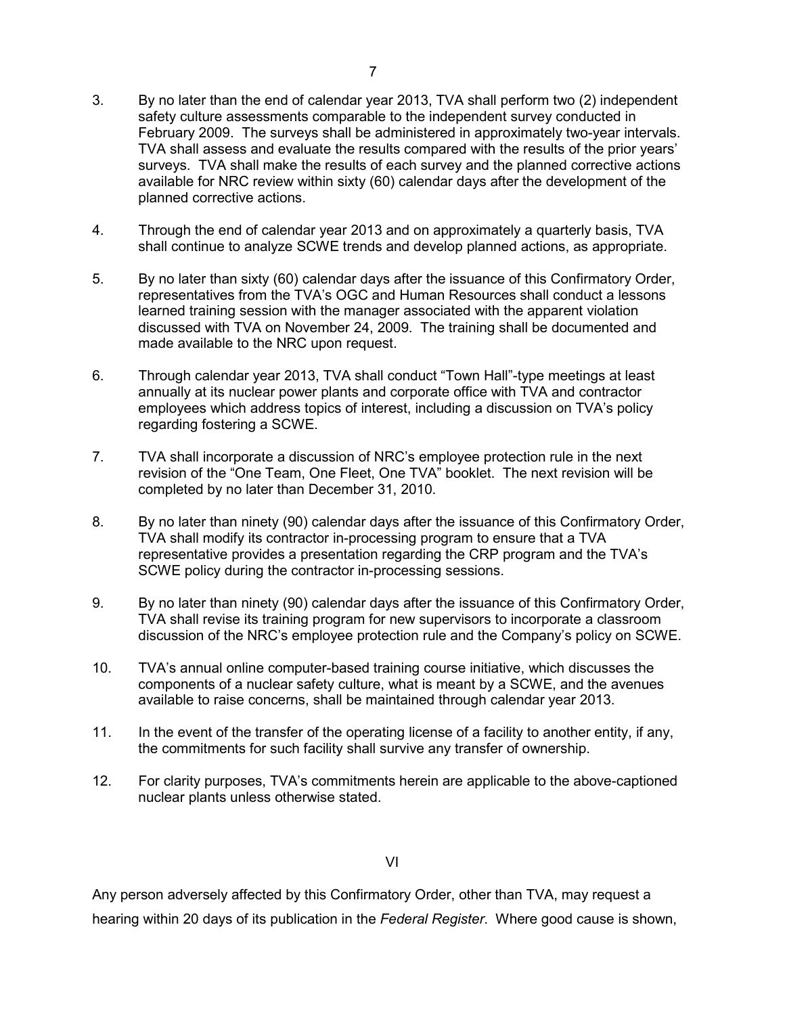- 3. By no later than the end of calendar year 2013, TVA shall perform two (2) independent safety culture assessments comparable to the independent survey conducted in February 2009. The surveys shall be administered in approximately two-year intervals. TVA shall assess and evaluate the results compared with the results of the prior years' surveys. TVA shall make the results of each survey and the planned corrective actions available for NRC review within sixty (60) calendar days after the development of the planned corrective actions.
- 4. Through the end of calendar year 2013 and on approximately a quarterly basis, TVA shall continue to analyze SCWE trends and develop planned actions, as appropriate.
- 5. By no later than sixty (60) calendar days after the issuance of this Confirmatory Order, representatives from the TVA's OGC and Human Resources shall conduct a lessons learned training session with the manager associated with the apparent violation discussed with TVA on November 24, 2009. The training shall be documented and made available to the NRC upon request.
- 6. Through calendar year 2013, TVA shall conduct "Town Hall"-type meetings at least annually at its nuclear power plants and corporate office with TVA and contractor employees which address topics of interest, including a discussion on TVA's policy regarding fostering a SCWE.
- 7. TVA shall incorporate a discussion of NRC's employee protection rule in the next revision of the "One Team, One Fleet, One TVA" booklet. The next revision will be completed by no later than December 31, 2010.
- 8. By no later than ninety (90) calendar days after the issuance of this Confirmatory Order, TVA shall modify its contractor in-processing program to ensure that a TVA representative provides a presentation regarding the CRP program and the TVA's SCWE policy during the contractor in-processing sessions.
- 9. By no later than ninety (90) calendar days after the issuance of this Confirmatory Order, TVA shall revise its training program for new supervisors to incorporate a classroom discussion of the NRC's employee protection rule and the Company's policy on SCWE.
- 10. TVA's annual online computer-based training course initiative, which discusses the components of a nuclear safety culture, what is meant by a SCWE, and the avenues available to raise concerns, shall be maintained through calendar year 2013.
- 11. In the event of the transfer of the operating license of a facility to another entity, if any, the commitments for such facility shall survive any transfer of ownership.
- 12. For clarity purposes, TVA's commitments herein are applicable to the above-captioned nuclear plants unless otherwise stated.

VI

Any person adversely affected by this Confirmatory Order, other than TVA, may request a hearing within 20 days of its publication in the *Federal Register*. Where good cause is shown,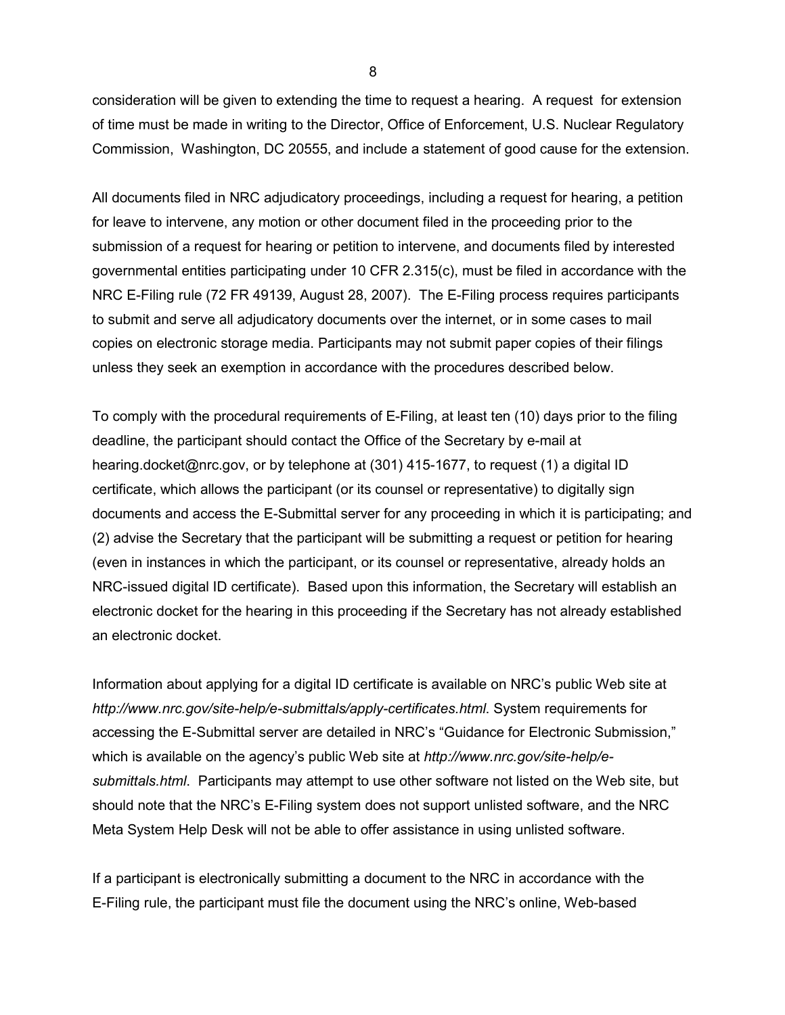consideration will be given to extending the time to request a hearing. A request for extension of time must be made in writing to the Director, Office of Enforcement, U.S. Nuclear Regulatory Commission, Washington, DC 20555, and include a statement of good cause for the extension.

All documents filed in NRC adjudicatory proceedings, including a request for hearing, a petition for leave to intervene, any motion or other document filed in the proceeding prior to the submission of a request for hearing or petition to intervene, and documents filed by interested governmental entities participating under 10 CFR 2.315(c), must be filed in accordance with the NRC E-Filing rule (72 FR 49139, August 28, 2007). The E-Filing process requires participants to submit and serve all adjudicatory documents over the internet, or in some cases to mail copies on electronic storage media. Participants may not submit paper copies of their filings unless they seek an exemption in accordance with the procedures described below.

To comply with the procedural requirements of E-Filing, at least ten (10) days prior to the filing deadline, the participant should contact the Office of the Secretary by e-mail at hearing.docket@nrc.gov, or by telephone at (301) 415-1677, to request (1) a digital ID certificate, which allows the participant (or its counsel or representative) to digitally sign documents and access the E-Submittal server for any proceeding in which it is participating; and (2) advise the Secretary that the participant will be submitting a request or petition for hearing (even in instances in which the participant, or its counsel or representative, already holds an NRC-issued digital ID certificate). Based upon this information, the Secretary will establish an electronic docket for the hearing in this proceeding if the Secretary has not already established an electronic docket.

Information about applying for a digital ID certificate is available on NRC's public Web site at *http://www.nrc.gov/site-help/e-submittals/apply-certificates.html*. System requirements for accessing the E-Submittal server are detailed in NRC's "Guidance for Electronic Submission," which is available on the agency's public Web site at *http://www.nrc.gov/site-help/esubmittals.html*. Participants may attempt to use other software not listed on the Web site, but should note that the NRC's E-Filing system does not support unlisted software, and the NRC Meta System Help Desk will not be able to offer assistance in using unlisted software.

If a participant is electronically submitting a document to the NRC in accordance with the E-Filing rule, the participant must file the document using the NRC's online, Web-based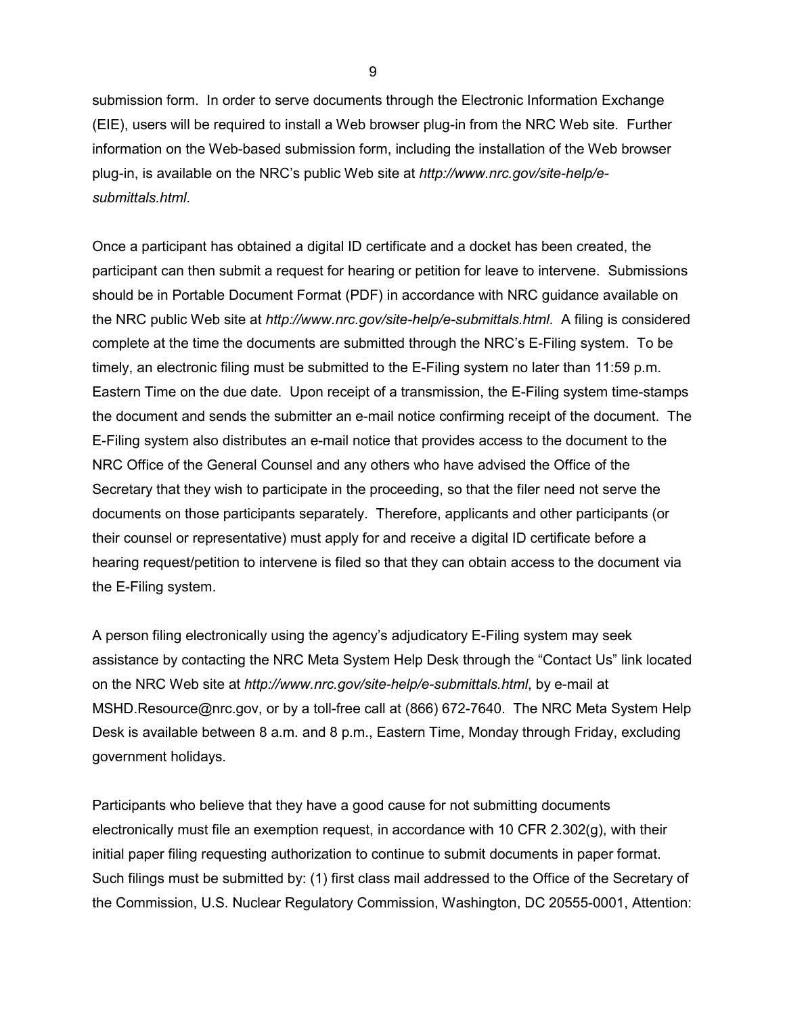submission form. In order to serve documents through the Electronic Information Exchange (EIE), users will be required to install a Web browser plug-in from the NRC Web site. Further information on the Web-based submission form, including the installation of the Web browser plug-in, is available on the NRC's public Web site at *http://www.nrc.gov/site-help/esubmittals.html*.

Once a participant has obtained a digital ID certificate and a docket has been created, the participant can then submit a request for hearing or petition for leave to intervene. Submissions should be in Portable Document Format (PDF) in accordance with NRC guidance available on the NRC public Web site at *http://www.nrc.gov/site-help/e-submittals.html*. A filing is considered complete at the time the documents are submitted through the NRC's E-Filing system. To be timely, an electronic filing must be submitted to the E-Filing system no later than 11:59 p.m. Eastern Time on the due date. Upon receipt of a transmission, the E-Filing system time-stamps the document and sends the submitter an e-mail notice confirming receipt of the document. The E-Filing system also distributes an e-mail notice that provides access to the document to the NRC Office of the General Counsel and any others who have advised the Office of the Secretary that they wish to participate in the proceeding, so that the filer need not serve the documents on those participants separately. Therefore, applicants and other participants (or their counsel or representative) must apply for and receive a digital ID certificate before a hearing request/petition to intervene is filed so that they can obtain access to the document via the E-Filing system.

A person filing electronically using the agency's adjudicatory E-Filing system may seek assistance by contacting the NRC Meta System Help Desk through the "Contact Us" link located on the NRC Web site at *http://www.nrc.gov/site-help/e-submittals.html*, by e-mail at MSHD.Resource@nrc.gov, or by a toll-free call at (866) 672-7640. The NRC Meta System Help Desk is available between 8 a.m. and 8 p.m., Eastern Time, Monday through Friday, excluding government holidays.

Participants who believe that they have a good cause for not submitting documents electronically must file an exemption request, in accordance with 10 CFR 2.302(g), with their initial paper filing requesting authorization to continue to submit documents in paper format. Such filings must be submitted by: (1) first class mail addressed to the Office of the Secretary of the Commission, U.S. Nuclear Regulatory Commission, Washington, DC 20555-0001, Attention:

9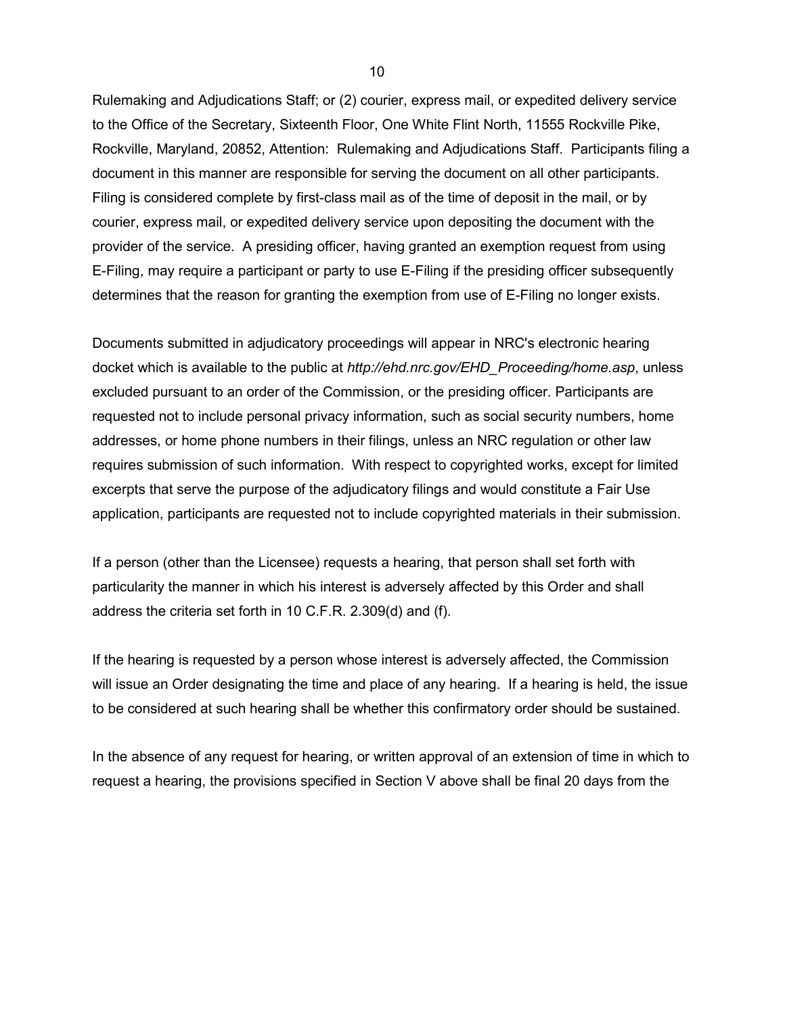Rulemaking and Adjudications Staff; or (2) courier, express mail, or expedited delivery service to the Office of the Secretary, Sixteenth Floor, One White Flint North, 11555 Rockville Pike, Rockville, Maryland, 20852, Attention: Rulemaking and Adjudications Staff. Participants filing a document in this manner are responsible for serving the document on all other participants. Filing is considered complete by first-class mail as of the time of deposit in the mail, or by courier, express mail, or expedited delivery service upon depositing the document with the provider of the service. A presiding officer, having granted an exemption request from using E-Filing, may require a participant or party to use E-Filing if the presiding officer subsequently determines that the reason for granting the exemption from use of E-Filing no longer exists.

Documents submitted in adjudicatory proceedings will appear in NRC's electronic hearing docket which is available to the public at *http://ehd.nrc.gov/EHD\_Proceeding/home.asp*, unless excluded pursuant to an order of the Commission, or the presiding officer. Participants are requested not to include personal privacy information, such as social security numbers, home addresses, or home phone numbers in their filings, unless an NRC regulation or other law requires submission of such information. With respect to copyrighted works, except for limited excerpts that serve the purpose of the adjudicatory filings and would constitute a Fair Use application, participants are requested not to include copyrighted materials in their submission.

If a person (other than the Licensee) requests a hearing, that person shall set forth with particularity the manner in which his interest is adversely affected by this Order and shall address the criteria set forth in 10 C.F.R. 2.309(d) and (f).

If the hearing is requested by a person whose interest is adversely affected, the Commission will issue an Order designating the time and place of any hearing. If a hearing is held, the issue to be considered at such hearing shall be whether this confirmatory order should be sustained.

In the absence of any request for hearing, or written approval of an extension of time in which to request a hearing, the provisions specified in Section V above shall be final 20 days from the